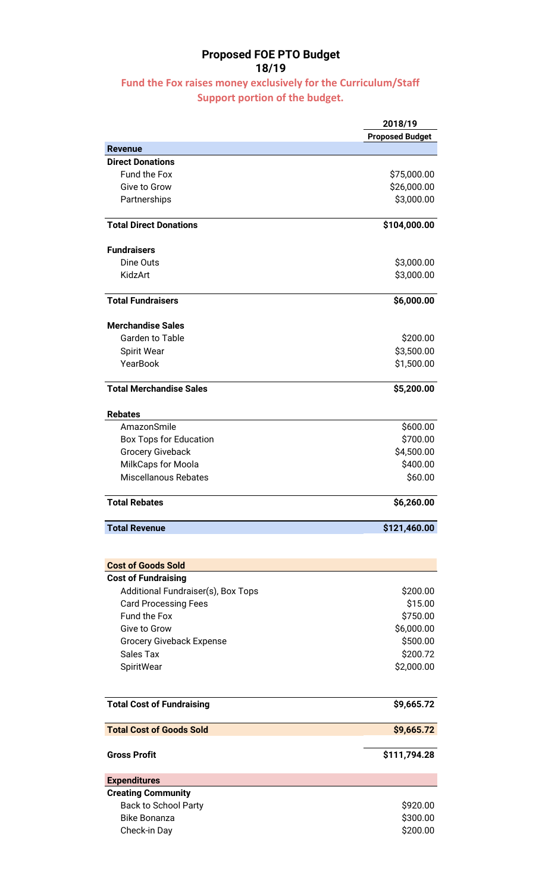## Proposed FOE PTO Budget 18/19

## Fund the Fox raises money exclusively for the Curriculum/Staff Support portion of the budget.

|                                    | 2018/19<br><b>Proposed Budget</b> |
|------------------------------------|-----------------------------------|
| <b>Revenue</b>                     |                                   |
| <b>Direct Donations</b>            |                                   |
| <b>Fund the Fox</b>                | \$75,000.00                       |
| <b>Give to Grow</b>                | \$26,000.00                       |
| Partnerships                       | \$3,000.00                        |
| <b>Total Direct Donations</b>      | \$104,000.00                      |
| <b>Fundraisers</b>                 |                                   |
| Dine Outs                          | \$3,000.00                        |
| KidzArt                            | \$3,000.00                        |
| <b>Total Fundraisers</b>           | \$6,000.00                        |
| <b>Merchandise Sales</b>           |                                   |
| <b>Garden to Table</b>             | \$200.00                          |
| Spirit Wear                        | \$3,500.00                        |
| YearBook                           | \$1,500.00                        |
| <b>Total Merchandise Sales</b>     | \$5,200.00                        |
| <b>Rebates</b>                     |                                   |
| AmazonSmile                        | \$600.00                          |
| <b>Box Tops for Education</b>      | \$700.00                          |
| <b>Grocery Giveback</b>            | \$4,500.00                        |
| MilkCaps for Moola                 | \$400.00                          |
| <b>Miscellanous Rebates</b>        | \$60.00                           |
| <b>Total Rebates</b>               | \$6,260.00                        |
| <b>Total Revenue</b>               | \$121,460.00                      |
|                                    |                                   |
| <b>Cost of Goods Sold</b>          |                                   |
| <b>Cost of Fundraising</b>         |                                   |
| Additional Fundraiser(s), Box Tops | \$200.00                          |
| <b>Card Processing Fees</b>        | \$15.00                           |
| Fund the Fox                       | \$750.00                          |
| <b>Give to Grow</b>                | \$6,000.00                        |
| <b>Grocery Giveback Expense</b>    | \$500.00                          |
| <b>Sales Tax</b>                   | \$200.72                          |
| SpiritWear                         | \$2,000.00                        |
| <b>Total Cost of Fundraising</b>   | \$9,665.72                        |
| <b>Total Cost of Goods Sold</b>    | \$9,665.72                        |
| <b>Gross Profit</b>                | \$111,794.28                      |
| <b>Expenditures</b>                |                                   |
| <b>Creating Community</b>          |                                   |
| <b>Back to School Party</b>        | \$920.00                          |
| <b>Bike Bonanza</b>                | \$300.00                          |
| Check-in Day                       | \$200.00                          |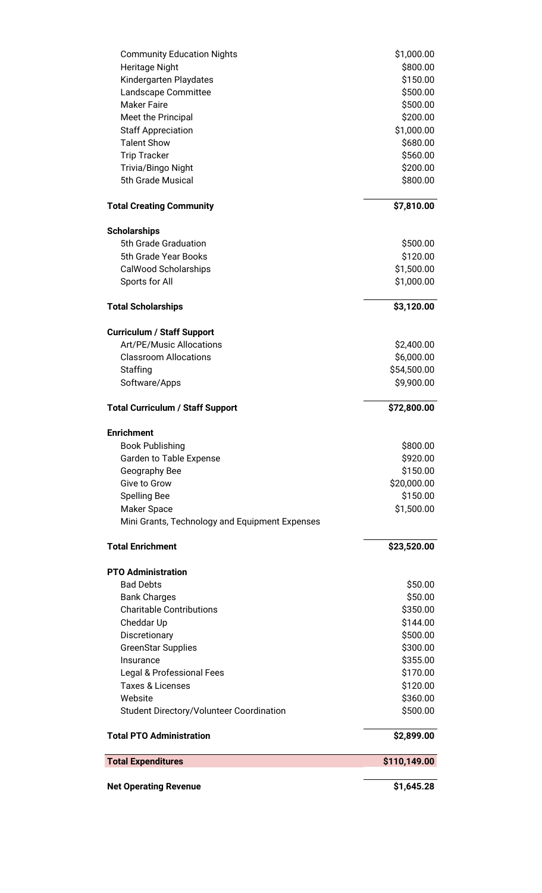| <b>Community Education Nights</b>               | \$1,000.00   |
|-------------------------------------------------|--------------|
| Heritage Night                                  | \$800.00     |
| Kindergarten Playdates                          | \$150.00     |
| Landscape Committee                             | \$500.00     |
| <b>Maker Faire</b>                              | \$500.00     |
| Meet the Principal                              | \$200.00     |
| <b>Staff Appreciation</b>                       | \$1,000.00   |
| <b>Talent Show</b>                              | \$680.00     |
| <b>Trip Tracker</b>                             | \$560.00     |
| Trivia/Bingo Night                              | \$200.00     |
| 5th Grade Musical                               | \$800.00     |
| <b>Total Creating Community</b>                 | \$7,810.00   |
| <b>Scholarships</b>                             |              |
| 5th Grade Graduation                            | \$500.00     |
| 5th Grade Year Books                            | \$120.00     |
| CalWood Scholarships                            | \$1,500.00   |
| Sports for All                                  | \$1,000.00   |
| <b>Total Scholarships</b>                       | \$3,120.00   |
| <b>Curriculum / Staff Support</b>               |              |
| Art/PE/Music Allocations                        | \$2,400.00   |
| <b>Classroom Allocations</b>                    | \$6,000.00   |
| Staffing                                        | \$54,500.00  |
| Software/Apps                                   | \$9,900.00   |
| <b>Total Curriculum / Staff Support</b>         | \$72,800.00  |
| <b>Enrichment</b>                               |              |
| <b>Book Publishing</b>                          | \$800.00     |
| Garden to Table Expense                         | \$920.00     |
| Geography Bee                                   | \$150.00     |
| Give to Grow                                    | \$20,000.00  |
| <b>Spelling Bee</b>                             | \$150.00     |
| Maker Space                                     | \$1,500.00   |
| Mini Grants, Technology and Equipment Expenses  |              |
| <b>Total Enrichment</b>                         | \$23,520.00  |
| <b>PTO Administration</b>                       |              |
| <b>Bad Debts</b>                                | \$50.00      |
| <b>Bank Charges</b>                             | \$50.00      |
| <b>Charitable Contributions</b>                 | \$350.00     |
| Cheddar Up                                      | \$144.00     |
| Discretionary                                   | \$500.00     |
| <b>GreenStar Supplies</b>                       | \$300.00     |
| Insurance                                       | \$355.00     |
| Legal & Professional Fees                       | \$170.00     |
| <b>Taxes &amp; Licenses</b>                     | \$120.00     |
| Website                                         | \$360.00     |
| <b>Student Directory/Volunteer Coordination</b> | \$500.00     |
| <b>Total PTO Administration</b>                 | \$2,899.00   |
| <b>Total Expenditures</b>                       | \$110,149.00 |
| <b>Net Operating Revenue</b>                    | \$1,645.28   |